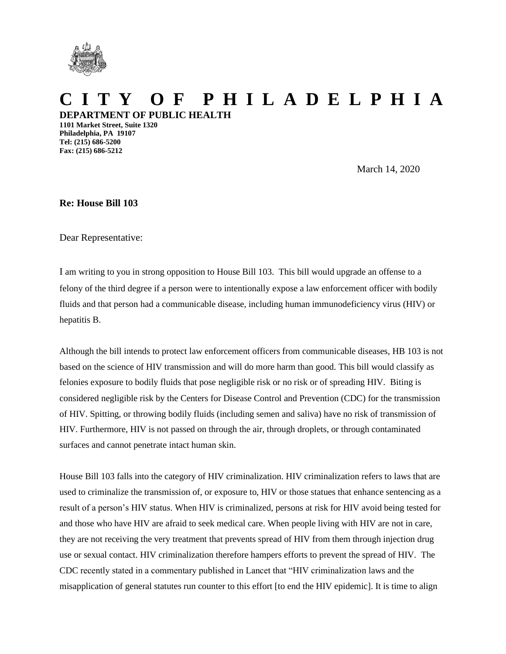

## **C I T Y O F P H I L A D E L P H I A DEPARTMENT OF PUBLIC HEALTH**

**1101 Market Street, Suite 1320 Philadelphia, PA 19107 Tel: (215) 686-5200 Fax: (215) 686-5212**

March 14, 2020

**Re: House Bill 103**

Dear Representative:

I am writing to you in strong opposition to House Bill 103. This bill would upgrade an offense to a felony of the third degree if a person were to intentionally expose a law enforcement officer with bodily fluids and that person had a communicable disease, including human immunodeficiency virus (HIV) or hepatitis B.

Although the bill intends to protect law enforcement officers from communicable diseases, HB 103 is not based on the science of HIV transmission and will do more harm than good. This bill would classify as felonies exposure to bodily fluids that pose negligible risk or no risk or of spreading HIV. Biting is considered negligible risk by the Centers for Disease Control and Prevention (CDC) for the transmission of HIV. Spitting, or throwing bodily fluids (including semen and saliva) have no risk of transmission of HIV. Furthermore, HIV is not passed on through the air, through droplets, or through contaminated surfaces and cannot penetrate intact human skin.

House Bill 103 falls into the category of HIV criminalization. HIV criminalization refers to laws that are used to criminalize the transmission of, or exposure to, HIV or those statues that enhance sentencing as a result of a person's HIV status. When HIV is criminalized, persons at risk for HIV avoid being tested for and those who have HIV are afraid to seek medical care. When people living with HIV are not in care, they are not receiving the very treatment that prevents spread of HIV from them through injection drug use or sexual contact. HIV criminalization therefore hampers efforts to prevent the spread of HIV. The CDC recently stated in a commentary published in Lancet that "HIV criminalization laws and the misapplication of general statutes run counter to this effort [to end the HIV epidemic]. It is time to align